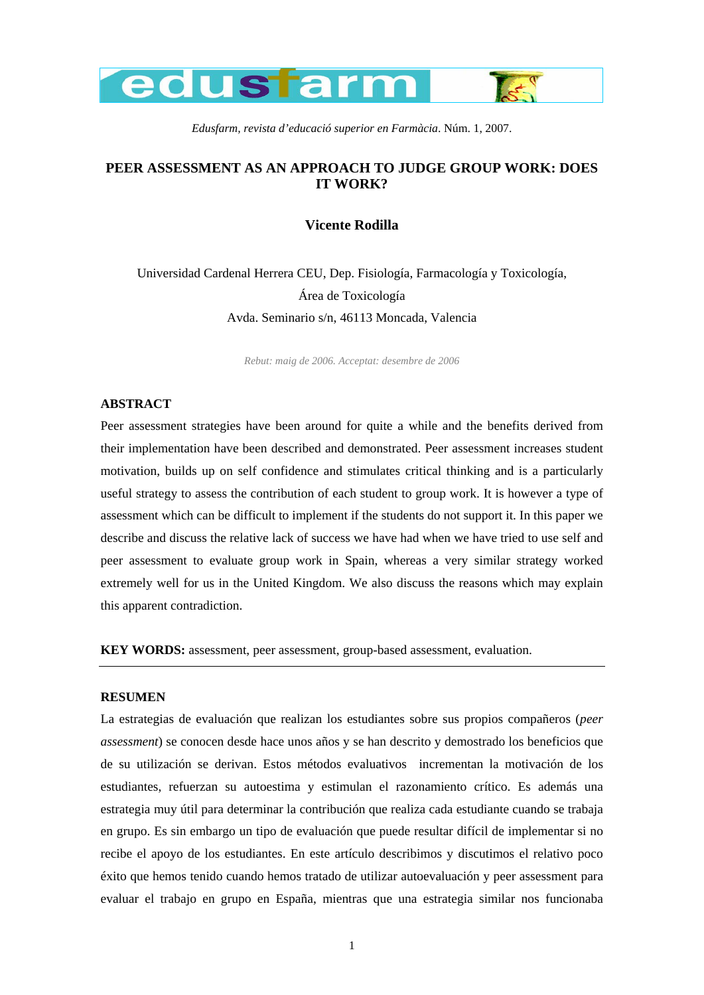

*Edusfarm, revista d'educació superior en Farmàcia*. Núm. 1, 2007.

# **PEER ASSESSMENT AS AN APPROACH TO JUDGE GROUP WORK: DOES IT WORK?**

## **Vicente Rodilla**

Universidad Cardenal Herrera CEU, Dep. Fisiología, Farmacología y Toxicología, Área de Toxicología Avda. Seminario s/n, 46113 Moncada, Valencia

*Rebut: maig de 2006. Acceptat: desembre de 2006* 

## **ABSTRACT**

Peer assessment strategies have been around for quite a while and the benefits derived from their implementation have been described and demonstrated. Peer assessment increases student motivation, builds up on self confidence and stimulates critical thinking and is a particularly useful strategy to assess the contribution of each student to group work. It is however a type of assessment which can be difficult to implement if the students do not support it. In this paper we describe and discuss the relative lack of success we have had when we have tried to use self and peer assessment to evaluate group work in Spain, whereas a very similar strategy worked extremely well for us in the United Kingdom. We also discuss the reasons which may explain this apparent contradiction.

**KEY WORDS:** assessment, peer assessment, group-based assessment, evaluation.

### **RESUMEN**

La estrategias de evaluación que realizan los estudiantes sobre sus propios compañeros (*peer assessment*) se conocen desde hace unos años y se han descrito y demostrado los beneficios que de su utilización se derivan. Estos métodos evaluativos incrementan la motivación de los estudiantes, refuerzan su autoestima y estimulan el razonamiento crítico. Es además una estrategia muy útil para determinar la contribución que realiza cada estudiante cuando se trabaja en grupo. Es sin embargo un tipo de evaluación que puede resultar difícil de implementar si no recibe el apoyo de los estudiantes. En este artículo describimos y discutimos el relativo poco éxito que hemos tenido cuando hemos tratado de utilizar autoevaluación y peer assessment para evaluar el trabajo en grupo en España, mientras que una estrategia similar nos funcionaba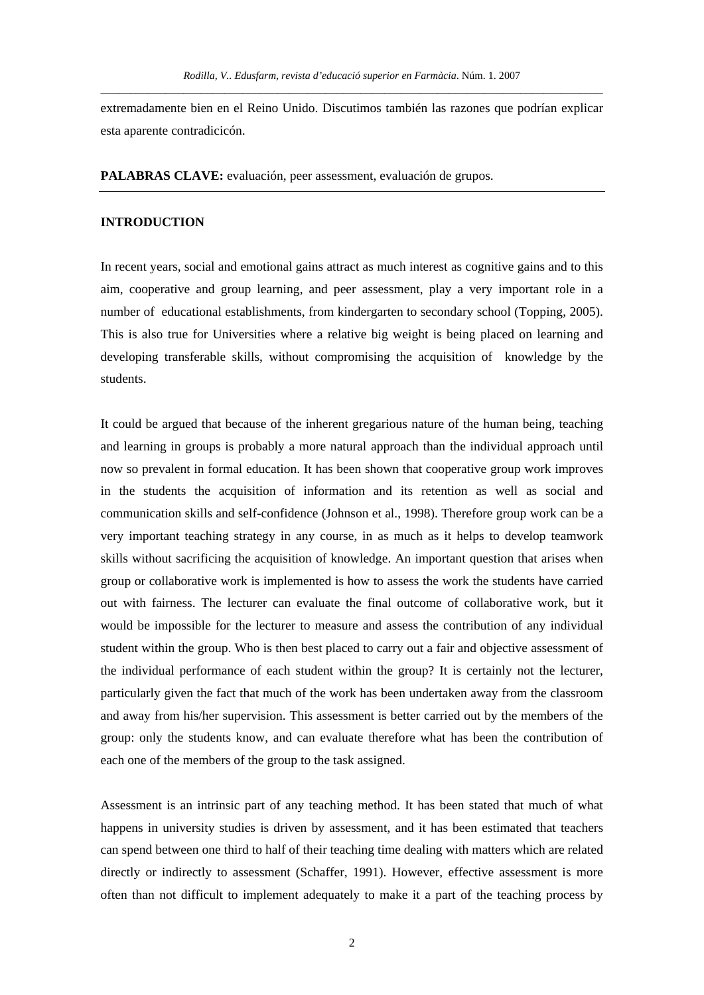extremadamente bien en el Reino Unido. Discutimos también las razones que podrían explicar esta aparente contradicicón.

**PALABRAS CLAVE:** evaluación, peer assessment, evaluación de grupos.

#### **INTRODUCTION**

In recent years, social and emotional gains attract as much interest as cognitive gains and to this aim, cooperative and group learning, and peer assessment, play a very important role in a number of educational establishments, from kindergarten to secondary school (Topping, 2005). This is also true for Universities where a relative big weight is being placed on learning and developing transferable skills, without compromising the acquisition of knowledge by the students.

It could be argued that because of the inherent gregarious nature of the human being, teaching and learning in groups is probably a more natural approach than the individual approach until now so prevalent in formal education. It has been shown that cooperative group work improves in the students the acquisition of information and its retention as well as social and communication skills and self-confidence (Johnson et al., 1998). Therefore group work can be a very important teaching strategy in any course, in as much as it helps to develop teamwork skills without sacrificing the acquisition of knowledge. An important question that arises when group or collaborative work is implemented is how to assess the work the students have carried out with fairness. The lecturer can evaluate the final outcome of collaborative work, but it would be impossible for the lecturer to measure and assess the contribution of any individual student within the group. Who is then best placed to carry out a fair and objective assessment of the individual performance of each student within the group? It is certainly not the lecturer, particularly given the fact that much of the work has been undertaken away from the classroom and away from his/her supervision. This assessment is better carried out by the members of the group: only the students know, and can evaluate therefore what has been the contribution of each one of the members of the group to the task assigned.

Assessment is an intrinsic part of any teaching method. It has been stated that much of what happens in university studies is driven by assessment, and it has been estimated that teachers can spend between one third to half of their teaching time dealing with matters which are related directly or indirectly to assessment (Schaffer, 1991). However, effective assessment is more often than not difficult to implement adequately to make it a part of the teaching process by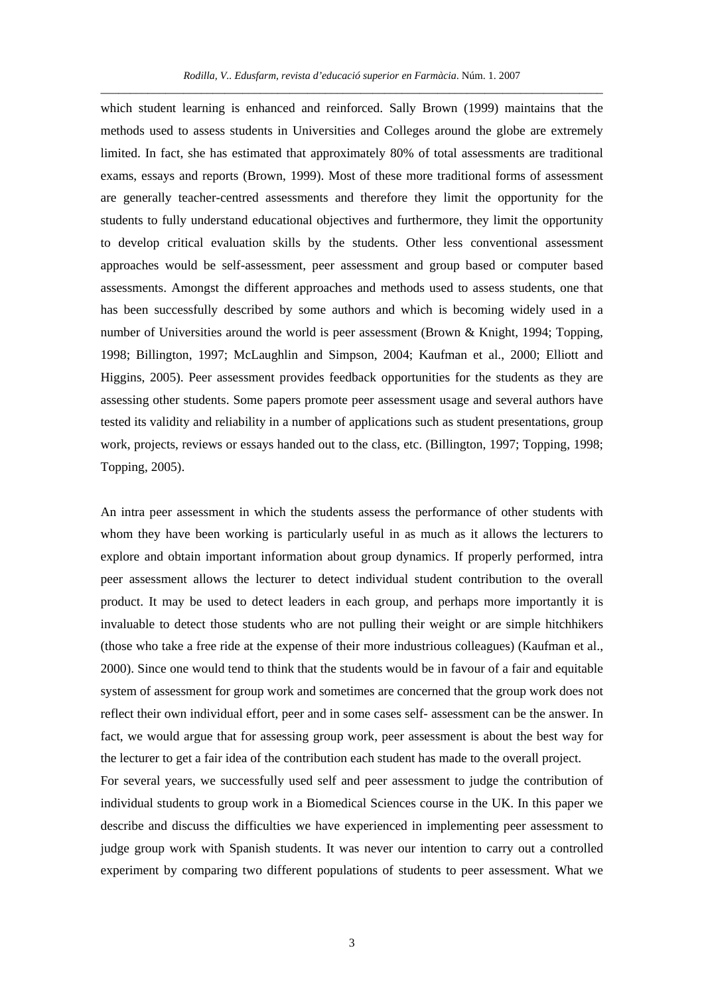which student learning is enhanced and reinforced. Sally Brown (1999) maintains that the methods used to assess students in Universities and Colleges around the globe are extremely limited. In fact, she has estimated that approximately 80% of total assessments are traditional exams, essays and reports (Brown, 1999). Most of these more traditional forms of assessment are generally teacher-centred assessments and therefore they limit the opportunity for the students to fully understand educational objectives and furthermore, they limit the opportunity to develop critical evaluation skills by the students. Other less conventional assessment approaches would be self-assessment, peer assessment and group based or computer based assessments. Amongst the different approaches and methods used to assess students, one that has been successfully described by some authors and which is becoming widely used in a number of Universities around the world is peer assessment (Brown & Knight, 1994; Topping, 1998; Billington, 1997; McLaughlin and Simpson, 2004; Kaufman et al., 2000; Elliott and Higgins, 2005). Peer assessment provides feedback opportunities for the students as they are assessing other students. Some papers promote peer assessment usage and several authors have tested its validity and reliability in a number of applications such as student presentations, group work, projects, reviews or essays handed out to the class, etc. (Billington, 1997; Topping, 1998; Topping, 2005).

An intra peer assessment in which the students assess the performance of other students with whom they have been working is particularly useful in as much as it allows the lecturers to explore and obtain important information about group dynamics. If properly performed, intra peer assessment allows the lecturer to detect individual student contribution to the overall product. It may be used to detect leaders in each group, and perhaps more importantly it is invaluable to detect those students who are not pulling their weight or are simple hitchhikers (those who take a free ride at the expense of their more industrious colleagues) (Kaufman et al., 2000). Since one would tend to think that the students would be in favour of a fair and equitable system of assessment for group work and sometimes are concerned that the group work does not reflect their own individual effort, peer and in some cases self- assessment can be the answer. In fact, we would argue that for assessing group work, peer assessment is about the best way for the lecturer to get a fair idea of the contribution each student has made to the overall project.

For several years, we successfully used self and peer assessment to judge the contribution of individual students to group work in a Biomedical Sciences course in the UK. In this paper we describe and discuss the difficulties we have experienced in implementing peer assessment to judge group work with Spanish students. It was never our intention to carry out a controlled experiment by comparing two different populations of students to peer assessment. What we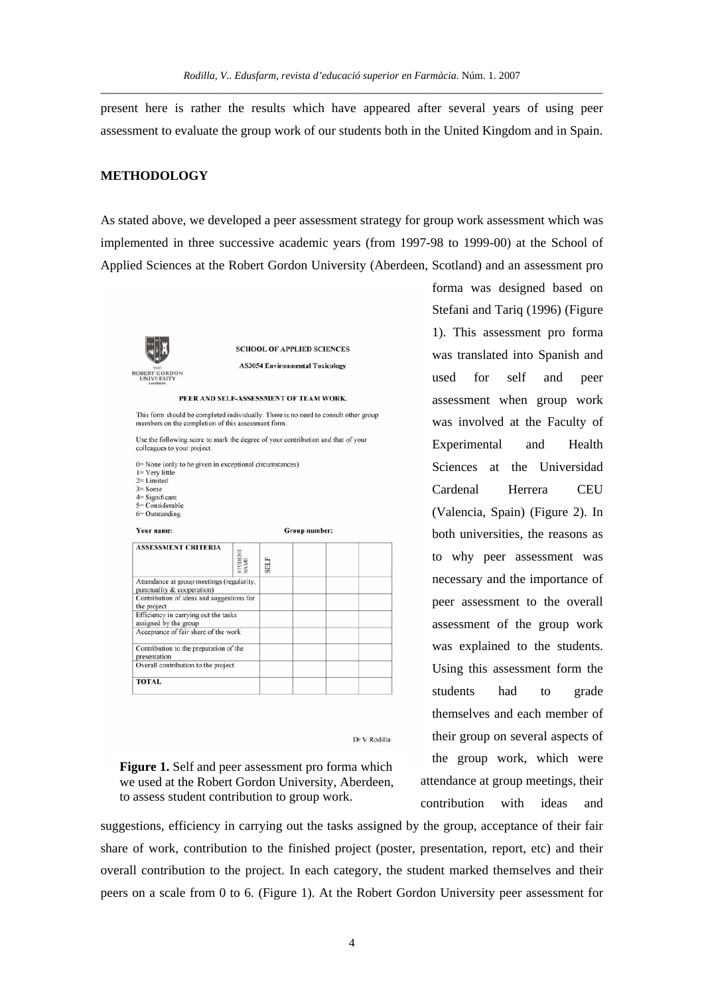present here is rather the results which have appeared after several years of using peer assessment to evaluate the group work of our students both in the United Kingdom and in Spain.

## **METHODOLOGY**

As stated above, we developed a peer assessment strategy for group work assessment which was implemented in three successive academic years (from 1997-98 to 1999-00) at the School of Applied Sciences at the Robert Gordon University (Aberdeen, Scotland) and an assessment pro



**SCHOOL OF APPLIED SCIENCES AS3054 Environmental Toxicology** 

PEER AND SELF-ASSESSMENT OF TEAM WORK.

This form should be completed individually. There is no need to consult other group members on the completion of this assessment form.

Use the following score to mark the degree of your contribution and that of your colleagues to your project

- 0= None (only to be given in exceptional circumstances)  $l = V$ erv little  $2=$  Limited<br> $3=$  Some
- 
- $4 =$  Significant<br> $5 =$  Considerable
- 6= Outstanding
- Your name: Group number: **ASSESSMENT CRITERIA** STUDENT<br>VAME **SELF** Attendance at group meetings (regularity punctuality & cooperation) Contribution of ideas and suggestions for the project Efficiency in carrying out the tasks assigned by the group<br>assigned by the group<br>Acceptance of fair share of the work Contribution to the preparation of the presentation<br>Overall contribution to the project **TOTAL**

 $\mathop{\rm Dr}\nolimits\mathop{\rm V}\nolimits\mathop{\rm Rodilla}\nolimits$ 

**Figure 1.** Self and peer assessment pro forma which we used at the Robert Gordon University, Aberdeen, to assess student contribution to group work.

suggestions, efficiency in carrying out the tasks assigned by the group, acceptance of their fair share of work, contribution to the finished project (poster, presentation, report, etc) and their overall contribution to the project. In each category, the student marked themselves and their peers on a scale from 0 to 6. (Figure 1). At the Robert Gordon University peer assessment for

forma was designed based on Stefani and Tariq (1996) (Figure 1). This assessment pro forma was translated into Spanish and used for self and peer assessment when group work was involved at the Faculty of Experimental and Health Sciences at the Universidad Cardenal Herrera CEU (Valencia, Spain) (Figure 2). In both universities, the reasons as to why peer assessment was necessary and the importance of peer assessment to the overall assessment of the group work was explained to the students. Using this assessment form the students had to grade themselves and each member of their group on several aspects of the group work, which were attendance at group meetings, their contribution with ideas and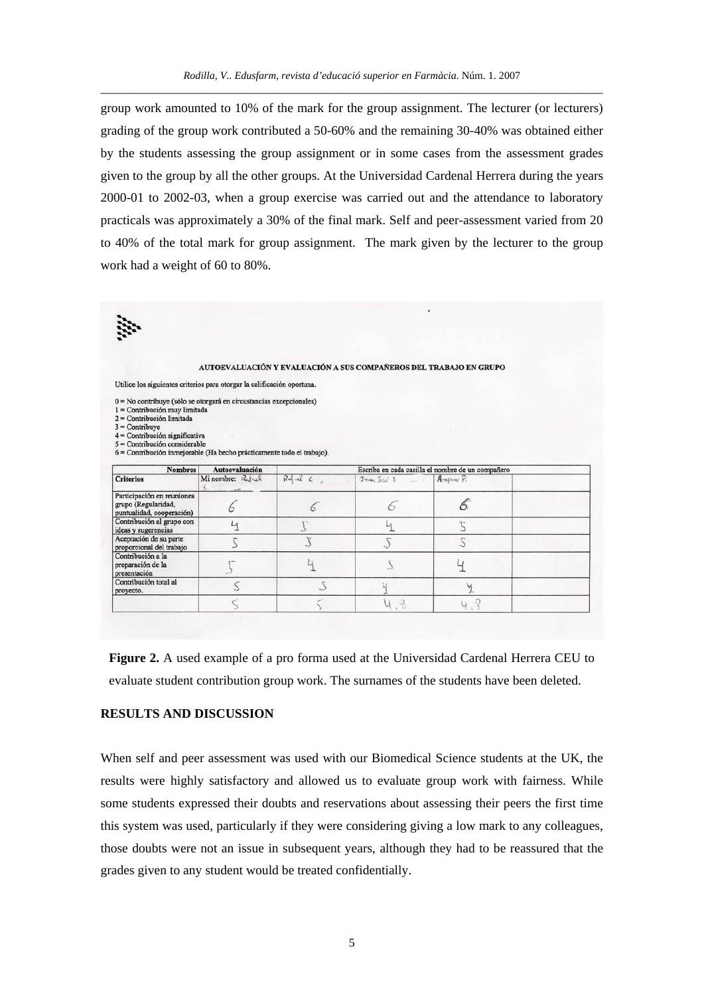group work amounted to 10% of the mark for the group assignment. The lecturer (or lecturers) grading of the group work contributed a 50-60% and the remaining 30-40% was obtained either by the students assessing the group assignment or in some cases from the assessment grades given to the group by all the other groups. At the Universidad Cardenal Herrera during the years 2000-01 to 2002-03, when a group exercise was carried out and the attendance to laboratory practicals was approximately a 30% of the final mark. Self and peer-assessment varied from 20 to 40% of the total mark for group assignment. The mark given by the lecturer to the group work had a weight of 60 to 80%.

#### AUTOEVALUACIÓN Y EVALUACIÓN A SUS COMPAÑEROS DEL TRABAJO EN GRUPO

Utilice los siguientes criterios para otorgar la calificación oportuna.

0 = No contribuye (sólo se otorgará en circustancias excepcionales)

 $1 =$  Contribución muy limitada<br> $2 =$  Contribución limitada

 $3 =$ Contribuye<br> $4 =$ Contribución significativa

 $5 =$ Contribución considerable

6 = Contribución inmejorable (Ha hecho prácticamente todo el trabajo).

| <b>Nombres</b>                                                                 | <b>Autoevaluación</b> | Escriba en cada casilla el nombre de un compañero |                                |  |  |
|--------------------------------------------------------------------------------|-----------------------|---------------------------------------------------|--------------------------------|--|--|
| <b>Criterios</b>                                                               | Mi nombre: Rules      | $Red$ and $C$                                     | $Juan Jola'S$ $\vec{A}mpao P.$ |  |  |
| Participación en reuniones<br>grupo (Regularidad,<br>puntualidad, cooperación) |                       |                                                   |                                |  |  |
| Contribución al grupo con<br>ideas y sugerencias                               |                       |                                                   |                                |  |  |
| Aceptación de su parte<br>proporcional del trabajo                             |                       |                                                   |                                |  |  |
| Contribución a la<br>preparación de la<br>presentación                         |                       |                                                   |                                |  |  |
| Contribución total al<br>proyecto.                                             |                       |                                                   |                                |  |  |
|                                                                                |                       |                                                   |                                |  |  |

**Figure 2.** A used example of a pro forma used at the Universidad Cardenal Herrera CEU to evaluate student contribution group work. The surnames of the students have been deleted.

## **RESULTS AND DISCUSSION**

When self and peer assessment was used with our Biomedical Science students at the UK, the results were highly satisfactory and allowed us to evaluate group work with fairness. While some students expressed their doubts and reservations about assessing their peers the first time this system was used, particularly if they were considering giving a low mark to any colleagues, those doubts were not an issue in subsequent years, although they had to be reassured that the grades given to any student would be treated confidentially.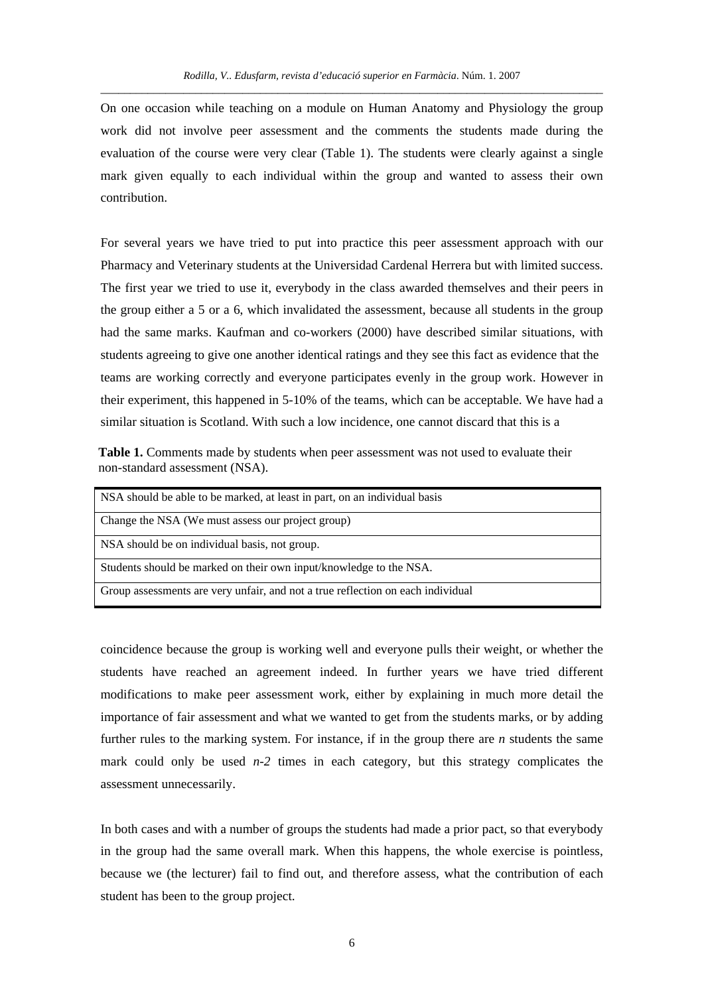On one occasion while teaching on a module on Human Anatomy and Physiology the group work did not involve peer assessment and the comments the students made during the evaluation of the course were very clear (Table 1). The students were clearly against a single mark given equally to each individual within the group and wanted to assess their own contribution.

For several years we have tried to put into practice this peer assessment approach with our Pharmacy and Veterinary students at the Universidad Cardenal Herrera but with limited success. The first year we tried to use it, everybody in the class awarded themselves and their peers in the group either a 5 or a 6, which invalidated the assessment, because all students in the group had the same marks. Kaufman and co-workers (2000) have described similar situations, with students agreeing to give one another identical ratings and they see this fact as evidence that the teams are working correctly and everyone participates evenly in the group work. However in their experiment, this happened in 5-10% of the teams, which can be acceptable. We have had a similar situation is Scotland. With such a low incidence, one cannot discard that this is a

**Table 1.** Comments made by students when peer assessment was not used to evaluate their non-standard assessment (NSA).

| NSA should be able to be marked, at least in part, on an individual basis       |
|---------------------------------------------------------------------------------|
| Change the NSA (We must assess our project group)                               |
| NSA should be on individual basis, not group.                                   |
| Students should be marked on their own input/knowledge to the NSA.              |
| Group assessments are very unfair, and not a true reflection on each individual |

coincidence because the group is working well and everyone pulls their weight, or whether the students have reached an agreement indeed. In further years we have tried different modifications to make peer assessment work, either by explaining in much more detail the importance of fair assessment and what we wanted to get from the students marks, or by adding further rules to the marking system. For instance, if in the group there are *n* students the same mark could only be used *n*-2 times in each category, but this strategy complicates the assessment unnecessarily.

In both cases and with a number of groups the students had made a prior pact, so that everybody in the group had the same overall mark. When this happens, the whole exercise is pointless, because we (the lecturer) fail to find out, and therefore assess, what the contribution of each student has been to the group project.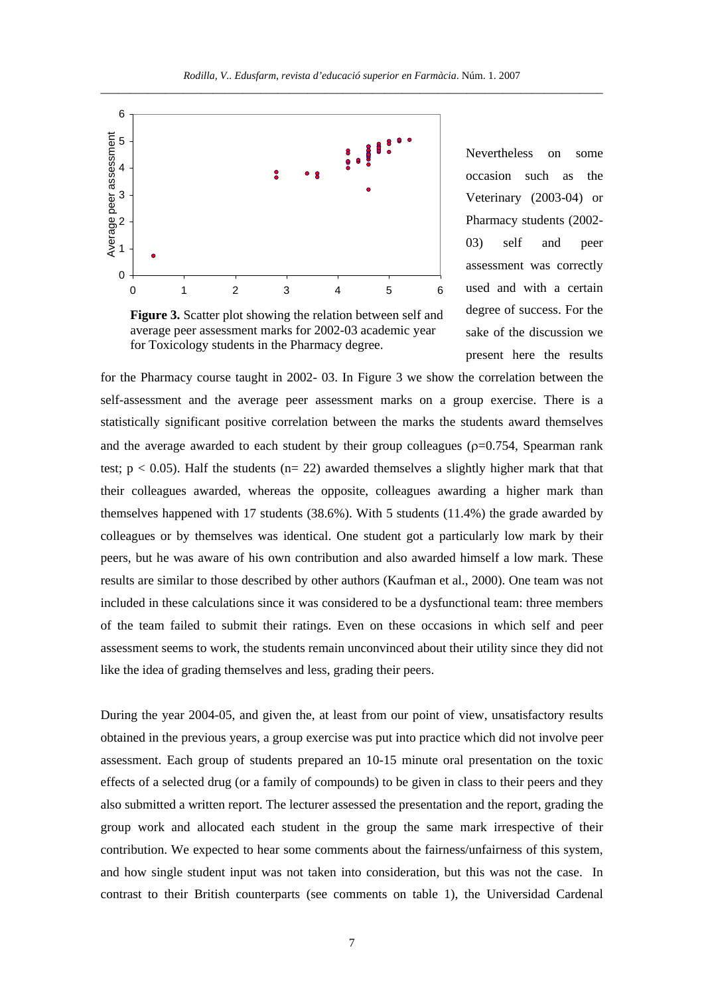

Figure 3. Scatter plot showing the relation between self and average peer assessment marks for 2002-03 academic year for Toxicology students in the Pharmacy degree.

Nevertheless on some occasion such as the Veterinary (2003-04) or Pharmacy students (2002- 03) self and peer assessment was correctly used and with a certain degree of success. For the sake of the discussion we present here the results

for the Pharmacy course taught in 2002- 03. In Figure 3 we show the correlation between the self-assessment and the average peer assessment marks on a group exercise. There is a statistically significant positive correlation between the marks the students award themselves and the average awarded to each student by their group colleagues ( $\rho$ =0.754, Spearman rank test;  $p < 0.05$ ). Half the students ( $n = 22$ ) awarded themselves a slightly higher mark that that their colleagues awarded, whereas the opposite, colleagues awarding a higher mark than themselves happened with 17 students (38.6%). With 5 students (11.4%) the grade awarded by colleagues or by themselves was identical. One student got a particularly low mark by their peers, but he was aware of his own contribution and also awarded himself a low mark. These results are similar to those described by other authors (Kaufman et al., 2000). One team was not included in these calculations since it was considered to be a dysfunctional team: three members of the team failed to submit their ratings. Even on these occasions in which self and peer assessment seems to work, the students remain unconvinced about their utility since they did not like the idea of grading themselves and less, grading their peers.

During the year 2004-05, and given the, at least from our point of view, unsatisfactory results obtained in the previous years, a group exercise was put into practice which did not involve peer assessment. Each group of students prepared an 10-15 minute oral presentation on the toxic effects of a selected drug (or a family of compounds) to be given in class to their peers and they also submitted a written report. The lecturer assessed the presentation and the report, grading the group work and allocated each student in the group the same mark irrespective of their contribution. We expected to hear some comments about the fairness/unfairness of this system, and how single student input was not taken into consideration, but this was not the case. In contrast to their British counterparts (see comments on table 1), the Universidad Cardenal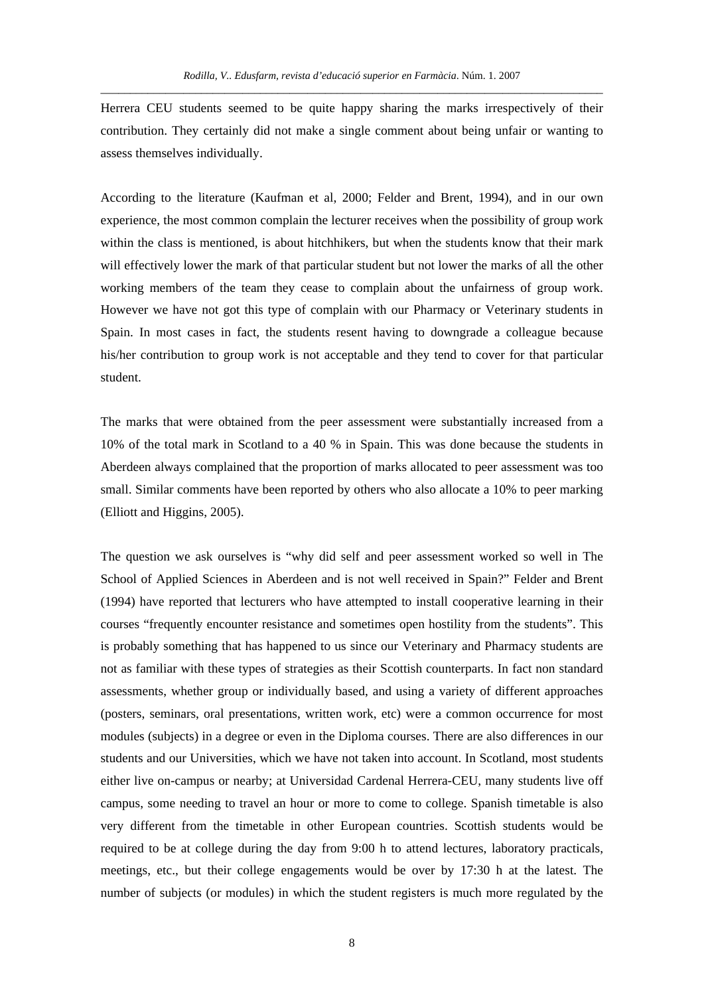Herrera CEU students seemed to be quite happy sharing the marks irrespectively of their contribution. They certainly did not make a single comment about being unfair or wanting to assess themselves individually.

According to the literature (Kaufman et al, 2000; Felder and Brent, 1994), and in our own experience, the most common complain the lecturer receives when the possibility of group work within the class is mentioned, is about hitchhikers, but when the students know that their mark will effectively lower the mark of that particular student but not lower the marks of all the other working members of the team they cease to complain about the unfairness of group work. However we have not got this type of complain with our Pharmacy or Veterinary students in Spain. In most cases in fact, the students resent having to downgrade a colleague because his/her contribution to group work is not acceptable and they tend to cover for that particular student.

The marks that were obtained from the peer assessment were substantially increased from a 10% of the total mark in Scotland to a 40 % in Spain. This was done because the students in Aberdeen always complained that the proportion of marks allocated to peer assessment was too small. Similar comments have been reported by others who also allocate a 10% to peer marking (Elliott and Higgins, 2005).

The question we ask ourselves is "why did self and peer assessment worked so well in The School of Applied Sciences in Aberdeen and is not well received in Spain?" Felder and Brent (1994) have reported that lecturers who have attempted to install cooperative learning in their courses "frequently encounter resistance and sometimes open hostility from the students". This is probably something that has happened to us since our Veterinary and Pharmacy students are not as familiar with these types of strategies as their Scottish counterparts. In fact non standard assessments, whether group or individually based, and using a variety of different approaches (posters, seminars, oral presentations, written work, etc) were a common occurrence for most modules (subjects) in a degree or even in the Diploma courses. There are also differences in our students and our Universities, which we have not taken into account. In Scotland, most students either live on-campus or nearby; at Universidad Cardenal Herrera-CEU, many students live off campus, some needing to travel an hour or more to come to college. Spanish timetable is also very different from the timetable in other European countries. Scottish students would be required to be at college during the day from 9:00 h to attend lectures, laboratory practicals, meetings, etc., but their college engagements would be over by 17:30 h at the latest. The number of subjects (or modules) in which the student registers is much more regulated by the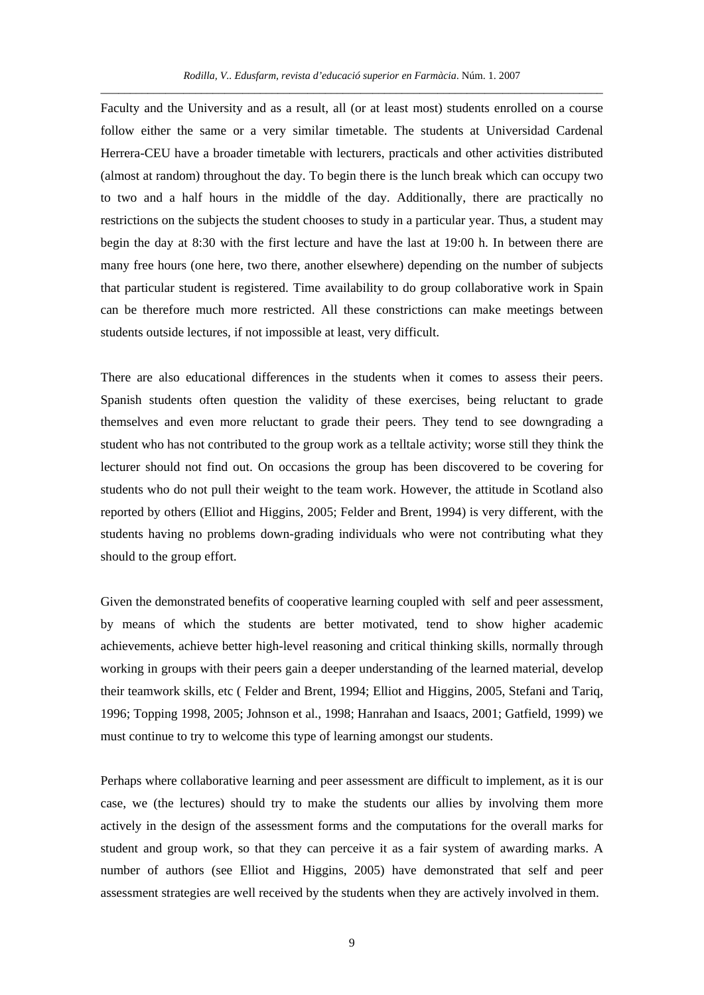Faculty and the University and as a result, all (or at least most) students enrolled on a course follow either the same or a very similar timetable. The students at Universidad Cardenal Herrera-CEU have a broader timetable with lecturers, practicals and other activities distributed (almost at random) throughout the day. To begin there is the lunch break which can occupy two to two and a half hours in the middle of the day. Additionally, there are practically no restrictions on the subjects the student chooses to study in a particular year. Thus, a student may begin the day at 8:30 with the first lecture and have the last at 19:00 h. In between there are many free hours (one here, two there, another elsewhere) depending on the number of subjects that particular student is registered. Time availability to do group collaborative work in Spain can be therefore much more restricted. All these constrictions can make meetings between students outside lectures, if not impossible at least, very difficult.

There are also educational differences in the students when it comes to assess their peers. Spanish students often question the validity of these exercises, being reluctant to grade themselves and even more reluctant to grade their peers. They tend to see downgrading a student who has not contributed to the group work as a telltale activity; worse still they think the lecturer should not find out. On occasions the group has been discovered to be covering for students who do not pull their weight to the team work. However, the attitude in Scotland also reported by others (Elliot and Higgins, 2005; Felder and Brent, 1994) is very different, with the students having no problems down-grading individuals who were not contributing what they should to the group effort.

Given the demonstrated benefits of cooperative learning coupled with self and peer assessment, by means of which the students are better motivated, tend to show higher academic achievements, achieve better high-level reasoning and critical thinking skills, normally through working in groups with their peers gain a deeper understanding of the learned material, develop their teamwork skills, etc ( Felder and Brent, 1994; Elliot and Higgins, 2005, Stefani and Tariq, 1996; Topping 1998, 2005; Johnson et al., 1998; Hanrahan and Isaacs, 2001; Gatfield, 1999) we must continue to try to welcome this type of learning amongst our students.

Perhaps where collaborative learning and peer assessment are difficult to implement, as it is our case, we (the lectures) should try to make the students our allies by involving them more actively in the design of the assessment forms and the computations for the overall marks for student and group work, so that they can perceive it as a fair system of awarding marks. A number of authors (see Elliot and Higgins, 2005) have demonstrated that self and peer assessment strategies are well received by the students when they are actively involved in them.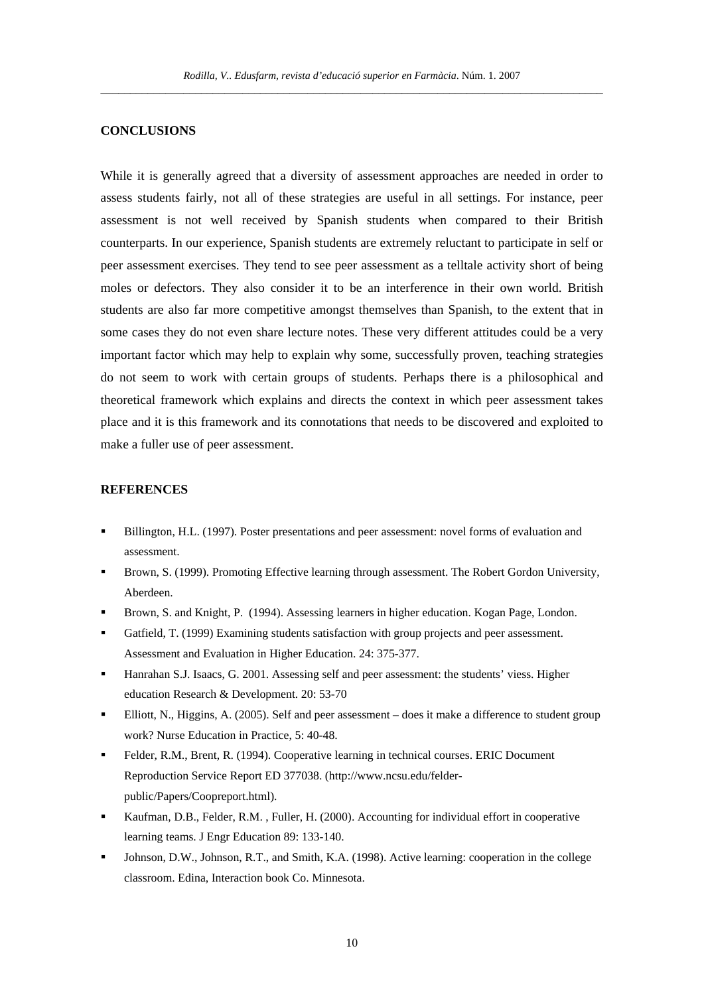### **CONCLUSIONS**

While it is generally agreed that a diversity of assessment approaches are needed in order to assess students fairly, not all of these strategies are useful in all settings. For instance, peer assessment is not well received by Spanish students when compared to their British counterparts. In our experience, Spanish students are extremely reluctant to participate in self or peer assessment exercises. They tend to see peer assessment as a telltale activity short of being moles or defectors. They also consider it to be an interference in their own world. British students are also far more competitive amongst themselves than Spanish, to the extent that in some cases they do not even share lecture notes. These very different attitudes could be a very important factor which may help to explain why some, successfully proven, teaching strategies do not seem to work with certain groups of students. Perhaps there is a philosophical and theoretical framework which explains and directs the context in which peer assessment takes place and it is this framework and its connotations that needs to be discovered and exploited to make a fuller use of peer assessment.

## **REFERENCES**

- Billington, H.L. (1997). Poster presentations and peer assessment: novel forms of evaluation and assessment.
- Brown, S. (1999). Promoting Effective learning through assessment. The Robert Gordon University, Aberdeen.
- Brown, S. and Knight, P. (1994). Assessing learners in higher education. Kogan Page, London.
- Gatfield, T. (1999) Examining students satisfaction with group projects and peer assessment. Assessment and Evaluation in Higher Education. 24: 375-377.
- Hanrahan S.J. Isaacs, G. 2001. Assessing self and peer assessment: the students' viess. Higher education Research & Development. 20: 53-70
- Elliott, N., Higgins, A. (2005). Self and peer assessment does it make a difference to student group work? Nurse Education in Practice, 5: 40-48.
- Felder, R.M., Brent, R. (1994). Cooperative learning in technical courses. ERIC Document Reproduction Service Report ED 377038. (http://www.ncsu.edu/felderpublic/Papers/Coopreport.html).
- Kaufman, D.B., Felder, R.M. , Fuller, H. (2000). Accounting for individual effort in cooperative learning teams. J Engr Education 89: 133-140.
- Johnson, D.W., Johnson, R.T., and Smith, K.A. (1998). Active learning: cooperation in the college classroom. Edina, Interaction book Co. Minnesota.